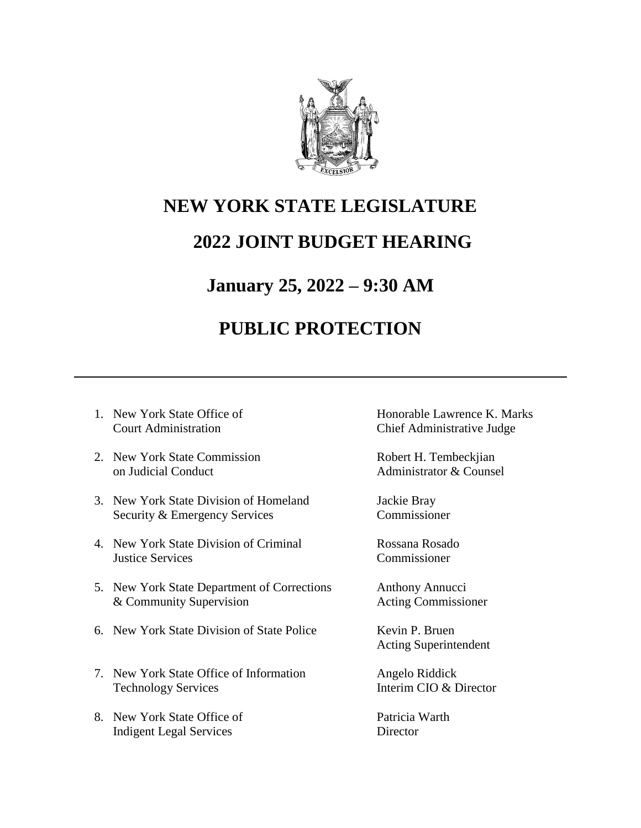

# **NEW YORK STATE LEGISLATURE**

## **2022 JOINT BUDGET HEARING**

### **January 25, 2022 – 9:30 AM**

# **PUBLIC PROTECTION**

- 
- 2. New York State Commission Robert H. Tembeckiian on Judicial Conduct **Administrator & Counsel**
- 3. New York State Division of Homeland Jackie Bray Security & Emergency Services Commissioner
- 4. New York State Division of Criminal Rossana Rosado Justice Services Commissioner
- 5. New York State Department of Corrections Anthony Annucci & Community Supervision Acting Commissioner
- 6. New York State Division of State Police Kevin P. Bruen
- 7. New York State Office of Information Angelo Riddick Technology Services Interim CIO & Director
- 8. New York State Office of Patricia Warth Indigent Legal Services Director

1. New York State Office of **Honorable Lawrence K. Marks** Court Administration Chief Administrative Judge

Acting Superintendent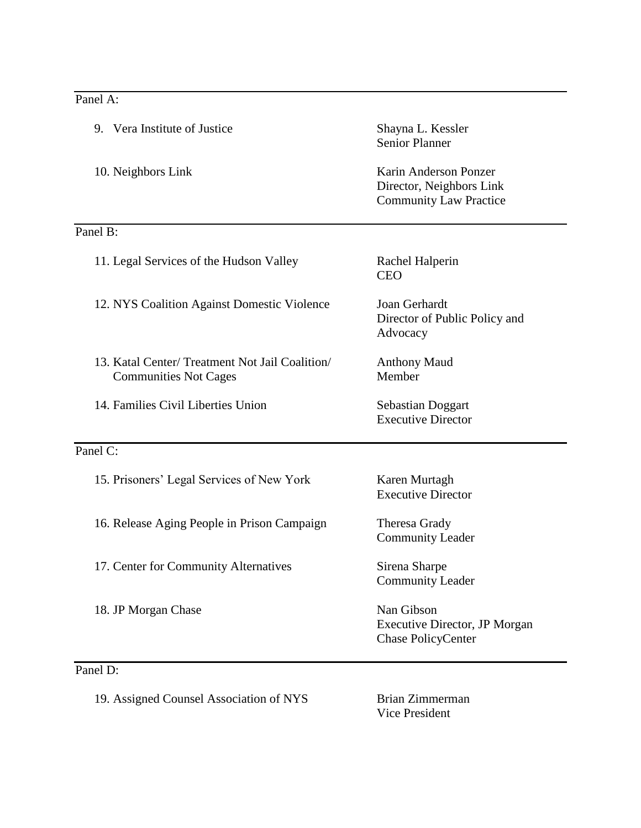#### Panel A:

| 9. Vera Institute of Justice                                                    | Shayna L. Kessler<br><b>Senior Planner</b>                                         |
|---------------------------------------------------------------------------------|------------------------------------------------------------------------------------|
| 10. Neighbors Link                                                              | Karin Anderson Ponzer<br>Director, Neighbors Link<br><b>Community Law Practice</b> |
| Panel B:                                                                        |                                                                                    |
| 11. Legal Services of the Hudson Valley                                         | Rachel Halperin<br><b>CEO</b>                                                      |
| 12. NYS Coalition Against Domestic Violence                                     | Joan Gerhardt<br>Director of Public Policy and<br>Advocacy                         |
| 13. Katal Center/ Treatment Not Jail Coalition/<br><b>Communities Not Cages</b> | <b>Anthony Maud</b><br>Member                                                      |
| 14. Families Civil Liberties Union                                              | Sebastian Doggart<br><b>Executive Director</b>                                     |
| Panel C:                                                                        |                                                                                    |
| 15. Prisoners' Legal Services of New York                                       | Karen Murtagh<br><b>Executive Director</b>                                         |
| 16. Release Aging People in Prison Campaign                                     | Theresa Grady<br><b>Community Leader</b>                                           |
| 17. Center for Community Alternatives                                           | Sirena Sharpe<br><b>Community Leader</b>                                           |
| 18. JP Morgan Chase                                                             | Nan Gibson<br>Executive Director, JP Morgan<br><b>Chase PolicyCenter</b>           |
| Panel D:                                                                        |                                                                                    |

19. Assigned Counsel Association of NYS Brian Zimmerman

Vice President